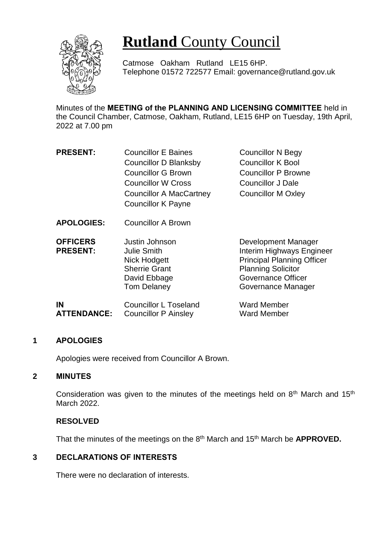

# **Rutland** County Council

Catmose Oakham Rutland LE15 6HP. Telephone 01572 722577 Email: governance@rutland.gov.uk

Minutes of the **MEETING of the PLANNING AND LICENSING COMMITTEE** held in the Council Chamber, Catmose, Oakham, Rutland, LE15 6HP on Tuesday, 19th April, 2022 at 7.00 pm

| <b>PRESENT:</b>                    | <b>Councillor E Baines</b>                                                                                         | <b>Councillor N Begy</b>                                                                                                                                              |
|------------------------------------|--------------------------------------------------------------------------------------------------------------------|-----------------------------------------------------------------------------------------------------------------------------------------------------------------------|
|                                    | Councillor D Blanksby                                                                                              | <b>Councillor K Bool</b>                                                                                                                                              |
|                                    | <b>Councillor G Brown</b>                                                                                          | <b>Councillor P Browne</b>                                                                                                                                            |
|                                    | Councillor W Cross                                                                                                 | <b>Councillor J Dale</b>                                                                                                                                              |
|                                    | <b>Councillor A MacCartney</b>                                                                                     | <b>Councillor M Oxley</b>                                                                                                                                             |
|                                    | <b>Councillor K Payne</b>                                                                                          |                                                                                                                                                                       |
| <b>APOLOGIES:</b>                  | <b>Councillor A Brown</b>                                                                                          |                                                                                                                                                                       |
| <b>OFFICERS</b><br><b>PRESENT:</b> | Justin Johnson<br><b>Julie Smith</b><br>Nick Hodgett<br><b>Sherrie Grant</b><br>David Ebbage<br><b>Tom Delaney</b> | Development Manager<br>Interim Highways Engineer<br><b>Principal Planning Officer</b><br><b>Planning Solicitor</b><br><b>Governance Officer</b><br>Governance Manager |
| IN                                 | <b>Councillor L Toseland</b>                                                                                       | <b>Ward Member</b>                                                                                                                                                    |

## **1 APOLOGIES**

Apologies were received from Councillor A Brown.

**ATTENDANCE:** Councillor P Ainsley

### **2 MINUTES**

Consideration was given to the minutes of the meetings held on  $8<sup>th</sup>$  March and 15<sup>th</sup> March 2022.

Ward Member

#### **RESOLVED**

That the minutes of the meetings on the 8th March and 15th March be **APPROVED.**

## **3 DECLARATIONS OF INTERESTS**

There were no declaration of interests.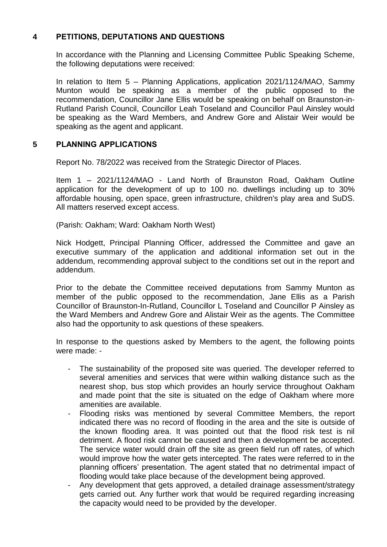## **4 PETITIONS, DEPUTATIONS AND QUESTIONS**

In accordance with the Planning and Licensing Committee Public Speaking Scheme, the following deputations were received:

In relation to Item 5 – Planning Applications, application 2021/1124/MAO, Sammy Munton would be speaking as a member of the public opposed to the recommendation, Councillor Jane Ellis would be speaking on behalf on Braunston-in-Rutland Parish Council, Councillor Leah Toseland and Councillor Paul Ainsley would be speaking as the Ward Members, and Andrew Gore and Alistair Weir would be speaking as the agent and applicant.

## **5 PLANNING APPLICATIONS**

Report No. 78/2022 was received from the Strategic Director of Places.

Item 1 – 2021/1124/MAO - Land North of Braunston Road, Oakham Outline application for the development of up to 100 no. dwellings including up to 30% affordable housing, open space, green infrastructure, children's play area and SuDS. All matters reserved except access.

(Parish: Oakham; Ward: Oakham North West)

Nick Hodgett, Principal Planning Officer, addressed the Committee and gave an executive summary of the application and additional information set out in the addendum, recommending approval subject to the conditions set out in the report and addendum.

Prior to the debate the Committee received deputations from Sammy Munton as member of the public opposed to the recommendation, Jane Ellis as a Parish Councillor of Braunston-In-Rutland, Councillor L Toseland and Councillor P Ainsley as the Ward Members and Andrew Gore and Alistair Weir as the agents. The Committee also had the opportunity to ask questions of these speakers.

In response to the questions asked by Members to the agent, the following points were made: -

- The sustainability of the proposed site was queried. The developer referred to several amenities and services that were within walking distance such as the nearest shop, bus stop which provides an hourly service throughout Oakham and made point that the site is situated on the edge of Oakham where more amenities are available.
- Flooding risks was mentioned by several Committee Members, the report indicated there was no record of flooding in the area and the site is outside of the known flooding area. It was pointed out that the flood risk test is nil detriment. A flood risk cannot be caused and then a development be accepted. The service water would drain off the site as green field run off rates, of which would improve how the water gets intercepted. The rates were referred to in the planning officers' presentation. The agent stated that no detrimental impact of flooding would take place because of the development being approved.
- Any development that gets approved, a detailed drainage assessment/strategy gets carried out. Any further work that would be required regarding increasing the capacity would need to be provided by the developer.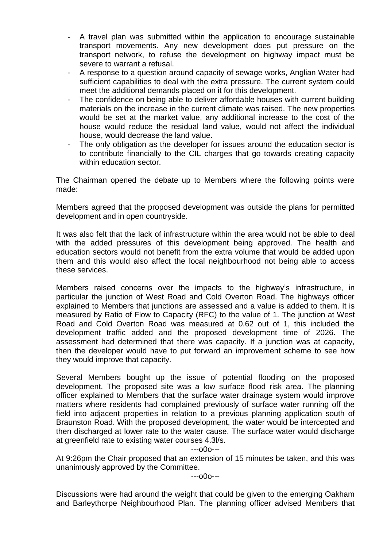- A travel plan was submitted within the application to encourage sustainable transport movements. Any new development does put pressure on the transport network, to refuse the development on highway impact must be severe to warrant a refusal.
- A response to a question around capacity of sewage works, Anglian Water had sufficient capabilities to deal with the extra pressure. The current system could meet the additional demands placed on it for this development.
- The confidence on being able to deliver affordable houses with current building materials on the increase in the current climate was raised. The new properties would be set at the market value, any additional increase to the cost of the house would reduce the residual land value, would not affect the individual house, would decrease the land value.
- The only obligation as the developer for issues around the education sector is to contribute financially to the CIL charges that go towards creating capacity within education sector.

The Chairman opened the debate up to Members where the following points were made:

Members agreed that the proposed development was outside the plans for permitted development and in open countryside.

It was also felt that the lack of infrastructure within the area would not be able to deal with the added pressures of this development being approved. The health and education sectors would not benefit from the extra volume that would be added upon them and this would also affect the local neighbourhood not being able to access these services.

Members raised concerns over the impacts to the highway's infrastructure, in particular the junction of West Road and Cold Overton Road. The highways officer explained to Members that junctions are assessed and a value is added to them. It is measured by Ratio of Flow to Capacity (RFC) to the value of 1. The junction at West Road and Cold Overton Road was measured at 0.62 out of 1, this included the development traffic added and the proposed development time of 2026. The assessment had determined that there was capacity. If a junction was at capacity, then the developer would have to put forward an improvement scheme to see how they would improve that capacity.

Several Members bought up the issue of potential flooding on the proposed development. The proposed site was a low surface flood risk area. The planning officer explained to Members that the surface water drainage system would improve matters where residents had complained previously of surface water running off the field into adjacent properties in relation to a previous planning application south of Braunston Road. With the proposed development, the water would be intercepted and then discharged at lower rate to the water cause. The surface water would discharge at greenfield rate to existing water courses 4.3l/s.

---o0o---

At 9:26pm the Chair proposed that an extension of 15 minutes be taken, and this was unanimously approved by the Committee.

---o0o---

Discussions were had around the weight that could be given to the emerging Oakham and Barleythorpe Neighbourhood Plan. The planning officer advised Members that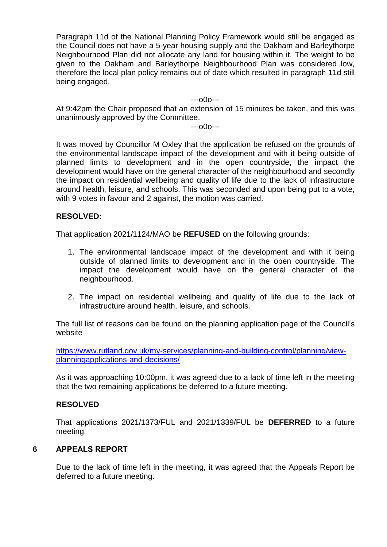Paragraph 11d of the National Planning Policy Framework would still be engaged as the Council does not have a 5-year housing supply and the Oakham and Barleythorpe Neighbourhood Plan did not allocate any land for housing within it. The weight to be given to the Oakham and Barleythorpe Neighbourhood Plan was considered low, therefore the local plan policy remains out of date which resulted in paragraph 11d still being engaged.

---o0o---

At 9:42pm the Chair proposed that an extension of 15 minutes be taken, and this was unanimously approved by the Committee.

---o0o---

It was moved by Councillor M Oxley that the application be refused on the grounds of the environmental landscape impact of the development and with it being outside of planned limits to development and in the open countryside, the impact the development would have on the general character of the neighbourhood and secondly the impact on residential wellbeing and quality of life due to the lack of infrastructure around health, leisure, and schools. This was seconded and upon being put to a vote, with 9 votes in favour and 2 against, the motion was carried.

#### **RESOLVED:**

That application 2021/1124/MAO be **REFUSED** on the following grounds:

- 1. The environmental landscape impact of the development and with it being outside of planned limits to development and in the open countryside. The impact the development would have on the general character of the neighbourhood.
- 2. The impact on residential wellbeing and quality of life due to the lack of infrastructure around health, leisure, and schools.

The full list of reasons can be found on the planning application page of the Council's website

[https://www.rutland.gov.uk/my-services/planning-and-building-control/planning/view](https://www.rutland.gov.uk/my-services/planning-and-building-control/planning/view-planningapplications-and-decisions/)[planningapplications-and-decisions/](https://www.rutland.gov.uk/my-services/planning-and-building-control/planning/view-planningapplications-and-decisions/)

As it was approaching 10:00pm, it was agreed due to a lack of time left in the meeting that the two remaining applications be deferred to a future meeting.

#### **RESOLVED**

That applications 2021/1373/FUL and 2021/1339/FUL be **DEFERRED** to a future meeting.

#### **6 APPEALS REPORT**

Due to the lack of time left in the meeting, it was agreed that the Appeals Report be deferred to a future meeting.